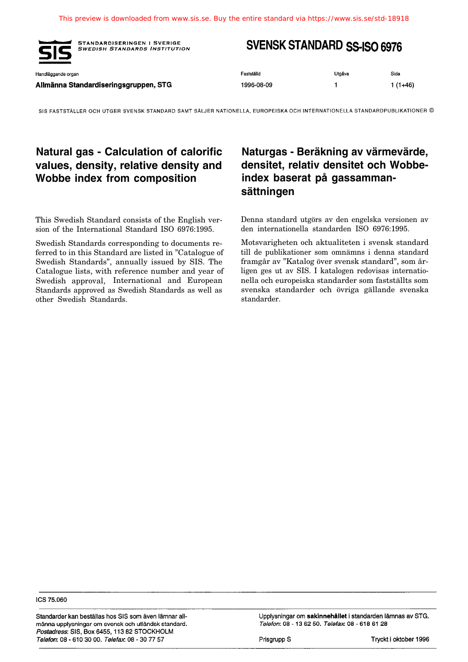

STANDARDISERINGEN I SVERIGE SWEDISH STANDARDS INSTITUTION

Handläggande organ Allmänna Standardiseringsgruppen, STG **SVENSK STANDARD SS-ISO 6976** 

| Fastställd | Utgåva | Sida      |
|------------|--------|-----------|
| 1996-08-09 |        | $1(1+46)$ |

SIS FASTSTÄLLER OCH UTGER SVENSK STANDARD SAMT SÄLJER NATIONELLA, EUROPEISKA OCH INTERNATIONELLA STANDARDPUBLIKATIONER ©

# **Natural gas - Calculation of calorific values, density, relative density and Wobbe index from composition**

This Swedish Standard consists of the English version of the International Standard ISO 6976:1995.

Swedish Standards corresponding to documents referred to in this Standard are listed in "Catalogue of Swedish Standards", annually issued by SIS. The Catalogue lists, with reference number and year of Swedish approval, International and European Standards approved as Swedish Standards as well as other Swedish Standards.

# **Naturgas - Beräkning av värmevärde, densitet, relativ densitet och Wobbeindex baserat på gassammansättningen**

Denna standard utgörs av den engelska versionen av den internationella standarden ISO 6976:1995.

Motsvarigheten och aktualiteten i svensk standard till de publikationer som omnämns i denna standard framgår av "Katalog över svensk standard", som årligen ges ut av SIS. I katalogen redovisas internationella och europeiska standarder som fastställts som svenska standarder och övriga gällande svenska standarder.

ICS 75.060

Standarder kan beställas hos SIS som även lämnar allmänna upplysningar om svensk och utländsk standard. Postadress: SIS, Box 6455, 113 82 STOCKHOLM Telefon: 08 - 610 30 00. Telefax: 08 - 30 77 57

Upplysningar om sakinnehållet i standarden lämnas av STG. Telefon: 08 - 13 62 50. Telefax: 08 - 618 61 28

Prisgrupp S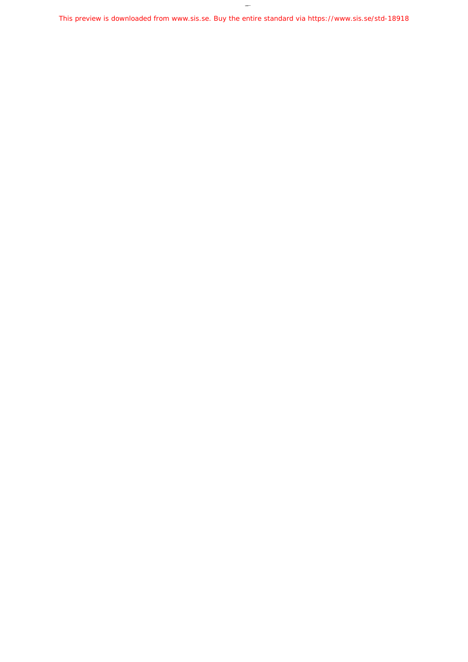This preview is downloaded from www.sis.se. Buy the entire standard via https://www.sis.se/std-18918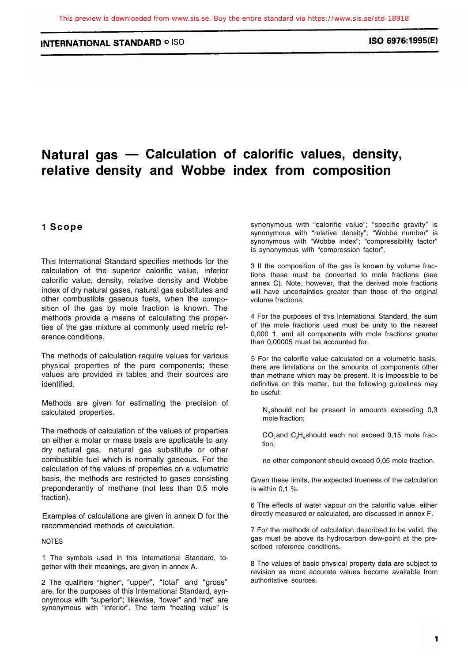# **Natural gas — Calculation of calorific values, density, relative density and Wobbe index from composition**

### **1 Scope**

This International Standard specifies methods for the calculation of the superior calorific value, inferior calorific value, density, relative density and Wobbe index of dry natural gases, natural gas substitutes and other combustible gaseous fuels, when the composition of the gas by mole fraction is known. The methods provide a means of calculating the properties of the gas mixture at commonly used metric reference conditions.

The methods of calculation require values for various physical properties of the pure components; these values are provided in tables and their sources are identified.

Methods are given for estimating the precision of calculated properties.

The methods of calculation of the values of properties on either a molar or mass basis are applicable to any dry natural gas, natural gas substitute or other combustible fuel which is normally gaseous. For the calculation of the values of properties on a volumetric basis, the methods are restricted to gases consisting preponderantly of methane (not less than 0,5 mole fraction).

Examples of calculations are given in annex D for the recommended methods of calculation.

### NOTES

1 The symbols used in this International Standard, together with their meanings, are given in annex A.

2 The qualifiers "higher", "upper", "total" and "gross" are, for the purposes of this International Standard, synonymous with "superior"; likewise, "lower" and "net" are synonymous with "inferior". The term "heating value" is

synonymous with "calorific value"; "specific gravity" is synonymous with "relative density"; "Wobbe number" is synonymous with "Wobbe index"; "compressibility factor" is synonymous with "compression factor".

3 If the composition of the gas is known by volume fractions these must be converted to mole fractions (see annex C). Note, however, that the derived mole fractions will have uncertainties greater than those of the original volume fractions.

4 For the purposes of this International Standard, the sum of the mole fractions used must be unity to the nearest 0,000 1, and all components with mole fractions greater than 0,00005 must be accounted for.

5 For the calorific value calculated on a volumetric basis, there are limitations on the amounts of components other than methane which may be present. It is impossible to be definitive on this matter, but the following guidelines may be useful:

N<sub>2</sub> should not be present in amounts exceeding 0.3 mole fraction;

 $CO_2$  and  $C_2H_6$  should each not exceed 0,15 mole fraction;

no other component should exceed 0,05 mole fraction.

Given these limits, the expected trueness of the calculation is within 0,1 %.

6 The effects of water vapour on the calorific value, either directly measured or calculated, are discussed in annex F.

7 For the methods of calculation described to be valid, the gas must be above its hydrocarbon dew-point at the prescribed reference conditions.

8 The values of basic physical property data are subject to revision as more accurate values become available from authoritative sources.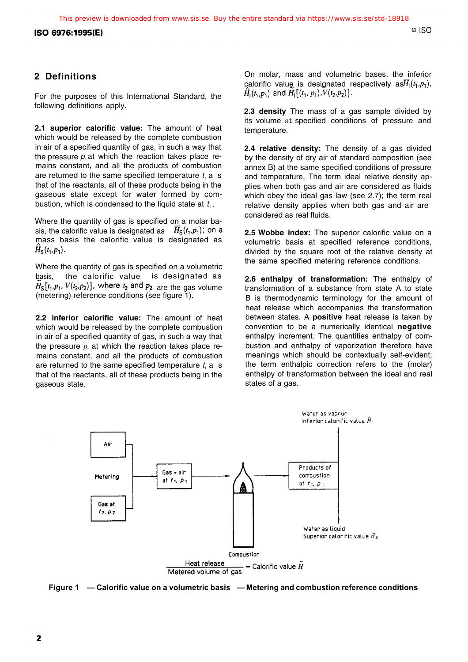# **2 Definitions**

For the purposes of this International Standard, the following definitions apply.

**2.1 superior calorific value:** The amount of heat which would be released by the complete combustion in air of a specified quantity of gas, in such a way that the pressure  $p$  at which the reaction takes place remains constant, and all the products of combustion are returned to the same specified temperature  $t_i$ , a s that of the reactants, all of these products being in the gaseous state except for water formed by combustion, which is condensed to the liquid state at  $t_i$ .

Where the quantity of gas is specified on a molar basis, the calorific value is designated as  $\overline{H}_{S}(t_{1}, p_{1})$ ; on a mass basis the calorific value is designated as  $H_{S}(t_{1}, p_{1}).$ 

Where the quantity of gas is specified on a volumetric basis, the calorific value is designated as  $H_S[t_1,p_1,V(t_2,p_2)]$ , where  $t_2$  and  $p_2$  are the gas volume (metering) reference conditions (see figure 1).

**2.2 inferior calorific value:** The amount of heat which would be released by the complete combustion in air of a specified quantity of gas, in such a way that the pressure *p,* at which the reaction takes place remains constant, and all the products of combustion are returned to the same specified temperature  $t<sub>i</sub>$  a s that of the reactants, all of these products being in the gaseous state.

On molar, mass and volumetric bases, the inferior calorific value is designated respectively as  $\overline{H_1}(t_1,p_1)$ ,  $\hat{H}_1(t_1,p_1)$  and  $H_1[(t_1,p_1),V(t_2,p_2)]$ .

**2.3 density** The mass of a gas sample divided by its volume at specified conditions of pressure and temperature.

**2.4 relative density:** The density of a gas divided by the density of dry air of standard composition (see annex B) at the same specified conditions of pressure and temperature, The term ideal relative density applies when both gas and air are considered as fluids which obey the ideal gas law (see 2.7); the term real relative density applies when both gas and air are considered as real fluids.

**2.5 Wobbe index:** The superior calorific value on a volumetric basis at specified reference conditions, divided by the square root of the relative density at the same specified metering reference conditions.

**2.6 enthalpy of transformation:** The enthalpy of transformation of a substance from state A to state B is thermodynamic terminology for the amount of heat release which accompanies the transformation between states. A **positive** heat release is taken by convention to be a numerically identical **negative** enthalpy increment. The quantities enthalpy of combustion and enthalpy of vaporization therefore have meanings which should be contextually self-evident; the term enthalpic correction refers to the (molar) enthalpy of transformation between the ideal and real states of a gas.



**Figure 1 — Calorific value on a volumetric basis — Metering and combustion reference conditions**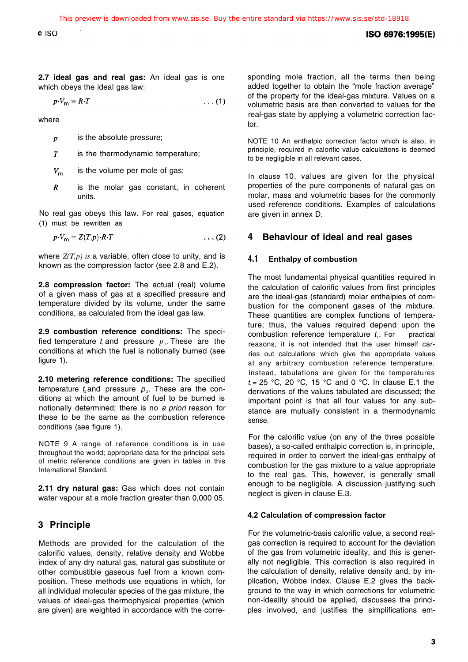This preview is downloaded from www.sis.se. Buy the entire standard via https://www.sis.se/std-18918

**2.7 ideal gas and real gas:** An ideal gas is one which obeys the ideal gas law:

$$
p \cdot V_m = R \cdot T \tag{1}
$$

where

- $\boldsymbol{p}$ is the absolute pressure;
- $\overline{T}$ is the thermodynamic temperature;
- $V_{\rm m}$ is the volume per mole of gas;
- $\boldsymbol{R}$ is the molar gas constant, in coherent units.
- No real gas obeys this law. For real gases, equation (1) must be rewritten as

$$
p \cdot V_{\mathsf{m}} = Z(T, p) \cdot R \cdot T \tag{2}
$$

where *Z(T,p) is* a variable, often close to unity, and is known as the compression factor (see 2.8 and E.2).

**2.8 compression factor:** The actual (real) volume of a given mass of gas at a specified pressure and temperature divided by its volume, under the same conditions, as calculated from the ideal gas law.

**2.9 combustion reference conditions:** The specified temperature  $t_i$  and pressure  $p_i$ . These are the conditions at which the fuel is notionally burned (see figure 1).

**2.10 metering reference conditions:** The specified temperature  $t_2$  and pressure  $p_2$ . These are the conditions at which the amount of fuel to be burned is notionally determined; there is no a priori reason for these to be the same as the combustion reference conditions (see figure 1).

NOTE 9 A range of reference conditions is in use throughout the world; appropriate data for the principal sets of metric reference conditions are given in tables in this International Standard.

**2.11 dry natural gas:** Gas which does not contain water vapour at a mole fraction greater than 0,000 05.

# **3 Principle**

Methods are provided for the calculation of the calorific values, density, relative density and Wobbe index of any dry natural gas, natural gas substitute or other combustible gaseous fuel from a known composition. These methods use equations in which, for all individual molecular species of the gas mixture, the values of ideal-gas thermophysical properties (which are given) are weighted in accordance with the corre-

sponding mole fraction, all the terms then being added together to obtain the "mole fraction average" of the property for the ideal-gas mixture. Values on a volumetric basis are then converted to values for the real-gas state by applying a volumetric correction factor.

NOTE 10 An enthalpic correction factor which is also, in principle, required in calorific value calculations is deemed to be negligible in all relevant cases.

In clause 10, values are given for the physical properties of the pure components of natural gas on molar, mass and volumetric bases for the commonly used reference conditions. Examples of calculations are given in annex D.

### **4 Behaviour of ideal and real gases**

### **4.1 Enthalpy of combustion**

The most fundamental physical quantities required in the calculation of calorific values from first principles are the ideal-gas (standard) molar enthalpies of combustion for the component gases of the mixture. These quantities are complex functions of temperature; thus, the values required depend upon the combustion reference temperature  $t<sub>i</sub>$ . For practical reasons, it is not intended that the user himself carries out calculations which give the appropriate values at any arbitrary combustion reference temperature. Instead, tabulations are given for the temperatures  $t_1 = 25$  °C, 20 °C, 15 °C and 0 °C. In clause E.1 the derivations of the values tabulated are discussed; the important point is that all four values for any substance are mutually consistent in a thermodynamic sense.

For the calorific value (on any of the three possible bases), a so-called enthalpic correction is, in principle, required in order to convert the ideal-gas enthalpy of combustion for the gas mixture to a value appropriate to the real gas. This, however, is generally small enough to be negligible. A discussion justifying such neglect is given in clause E.3.

### **4.2 Calculation of compression factor**

For the volumetric-basis calorific value, a second realgas correction is required to account for the deviation of the gas from volumetric ideality, and this is generally not negligible. This correction is also required in the calculation of density, relative density and, by implication, Wobbe index. Clause E.2 gives the background to the way in which corrections for volumetric non-ideality should be applied, discusses the principles involved, and justifies the simplifications em-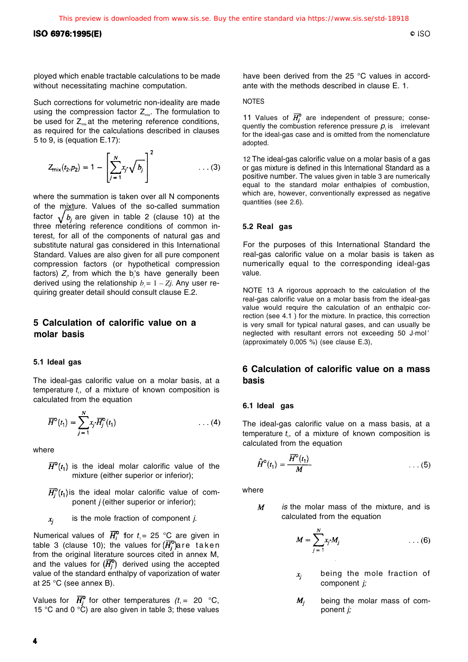ployed which enable tractable calculations to be made have been derived from the 25 °C values in accordwithout necessitating machine computation. ante with the methods described in clause E. 1.

Such corrections for volumetric non-ideality are made NOTES using the compression factor  $Z_{mix}$ . The formulation to be used for  $Z_{\text{mix}}$  at the metering reference conditions,<br>be used for  $Z_{\text{mix}}$  at the metering reference conditions,<br>as regarded for the solar strenge described in also as quently the combustion reference pressure  $p_i$ as required for the calculations described in clauses as required for the calculations described in clauses for the ideal-gas case and is omitted from the nomenclature<br>5 to 9, is (equation E.17):

$$
Z_{\text{mix}}(t_2, p_2) = 1 - \left[\sum_{j=1}^{N} x_j \sqrt{b_j}\right]^2 \qquad \qquad \dots (3)
$$

where the summation is taken over all N components of the mixture. Values of the so-called summation factor  $\sqrt{b_i}$  are given in table 2 (clause 10) at the three metering reference conditions of common interest, for all of the components of natural gas and substitute natural gas considered in this International Standard. Values are also given for all pure component compression factors (or hypothetical compression factors)  $Z_{\scriptscriptstyle\mathsf{p}}$ , from which the b<sub>i</sub>'s have generally been derived using the relationship  $b_i = 1 - Zj$ . Any user requiring greater detail should consult clause E.2.

# **5 Calculation of calorific value on a molar basis**

The ideal-gas calorific value on a molar basis, at a **basis** temperature  $t_{1}$ , of a mixture of known composition is calculated from the equation **6.1 Ideal gas**

$$
\overline{H}^{\circ}(t_1)=\sum_{j=1}^N x_j \cdot \overline{H}_j^{\circ}(t_1) \qquad \qquad \ldots (4)
$$

- $\overline{H}^{\circ}(t_1)$  is the ideal molar calorific value of the mixture (either superior or inferior);
- $\overline{H}_{i}^{o}(t_{1})$  is the ideal molar calorific value of com-
- $x_i$

Numerical values of  $H_i^{\vee}$  for  $t = 25$  °C are given in table 3 (clause 10); the values for  $(H_i^{\circ})$ are taken from the original literature sources cited in annex M, and the values for  $(\overline{H}_{i}^{o})$  derived using the accepted value of the standard enthalpy of vaporization of water  $x_i$  being the mole fraction of at 25 °C (see annex B). component j;

Values for  $\overline{H}_i^0$  for other temperatures  $(t_1 = 20 \degree C,$   $M_j$  being the molar mass of com-15 °C and 0 °C) are also given in table 3; these values ponent j; ponent j;

adopted.

12 The ideal-gas calorific value on a molar basis of a gas or gas mixture is defined in this International Standard as a positive number. The values given in table 3 are numerically equal to the standard molar enthalpies of combustion, which are, however, conventionally expressed as negative quantities (see 2.6).

### **5.2 Real gas**

For the purposes of this International Standard the real-gas calorific value on a molar basis is taken as numerically equal to the corresponding ideal-gas value.

NOTE 13 A rigorous approach to the calculation of the real-gas calorific value on a molar basis from the ideal-gas value would require the calculation of an enthalpic correction (see 4.1 ) for the mixture. In practice, this correction is very small for typical natural gases, and can usually be neglected with resultant errors not exceeding 50 J·mol<sup>-1</sup> (approximately 0,005 %) (see clause E.3),

# **5.1 Ideal gas 6 Calculation of calorific value on a mass**

The ideal-gas calorific value on a mass basis, at a temperature  $t<sub>i</sub>$ , of a mixture of known composition is calculated from the equation where

$$
\hat{H}^{\circ}(t_1) = \frac{\overline{H}^{\circ}(t_1)}{M} \qquad \qquad \dots (5)
$$

ponent *j* (either superior or inferior);  $\begin{array}{ccc} M & \text{is the molar mass of the mixture, and is} \end{array}$ is the mole fraction of component  $i$ . calculated from the equation

$$
M = \sum_{j=1}^{N} x_j M_j \qquad \qquad \ldots (6)
$$

- 
-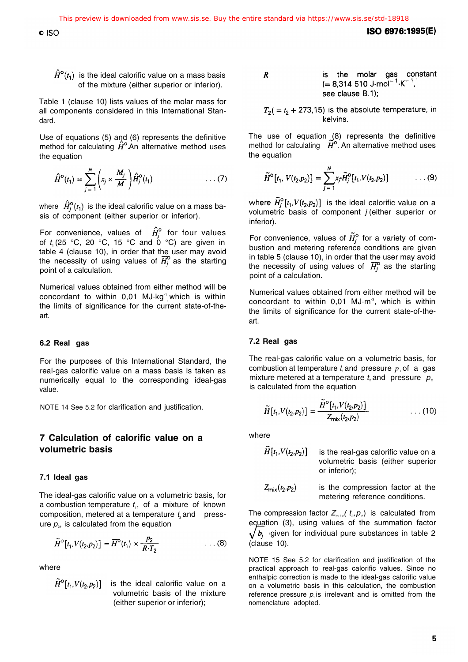$\hat{H}^{\text{o}}(t_1)$  is the ideal calorific value on a mass basis of the mixture (either superior or inferior).

Table 1 (clause 10) lists values of the molar mass for all components considered in this International Standard.

Use of equations (5) and (6) represents the definitive method for calculating  $\hat{H}^{\circ}$  An alternative method uses the equation

$$
\hat{H}^{\circ}(t_1) = \sum_{j=1}^{N} \left( x_j \times \frac{M_j}{M} \right) \hat{H}_j^{\circ}(t_1) \qquad \qquad \ldots (7)
$$

where  $\hat{H}^{\text{o}}_j(t_1)$  is the ideal calorific value on a mass basis of component (either superior or inferior).

For convenience, values of  $H_i^o$  for four values of  $t$ <sub>1</sub> (25 °C, 20 °C, 15 °C and 0 °C) are given in table 4 (clause 10), in order that the user may avoid the necessity of using values of  $H_i^{\circ}$  as the starting point of a calculation.

Numerical values obtained from either method will be concordant to within  $0.01$  MJ $\cdot$ kg<sup>-1</sup> which is within the limits of significance for the current state-of-theart.

### **6.2 Real gas**

For the purposes of this International Standard, the real-gas calorific value on a mass basis is taken as numerically equal to the corresponding ideal-gas value.

NOTE 14 See 5.2 for clarification and justification.

# **7 Calculation of calorific value on a volumetric basis**

### **7.1 Ideal gas**

The ideal-gas calorific value on a volumetric basis, for a combustion temperature  $t<sub>1</sub>$ , of a mixture of known composition, metered at a temperature  $t<sub>z</sub>$  and pressure  $p<sub>2</sub>$ , is calculated from the equation

$$
\widetilde{H}^{\circ}[t_1, V(t_2, p_2)] = \overline{H}^{\circ}(t_1) \times \frac{p_2}{R \cdot T_2} \qquad \qquad \dots (8)
$$

where

$$
\overline{H}^{\circ}[t_1, V(t_2, p_2)]
$$
 is the ideal calorific value on a  
volumetric basis of the mixture  
(either superior or inferior);

is the molar gas constant  $\boldsymbol{R}$  $(= 8.314 510 J \cdot mol^{-1} \cdot K^{-1})$ see clause B.1):

$$
T_2(= t_2 + 273.15)
$$
 is the absolute temperature, in kelvins.

The use of equation (8) represents the definitive method for calculating  $\widetilde{H}^{\circ}$ . An alternative method uses the equation

$$
\widetilde{H}^{\circ}[t_1, V(t_2, p_2)] = \sum_{j=1}^{N} x_j \widetilde{H}_j^{\circ}[t_1, V(t_2, p_2)] \qquad \qquad \ldots \text{ (9)}
$$

where  $H_j^0[t_1, V(t_2, p_2)]$  is the ideal calorific value on a volumetric basis of component *j* (either superior or inferior).

For convenience, values of  $\widetilde{H}_{j}^{\circ}$  for a variety of combustion and metering reference conditions are given in table 5 (clause 10), in order that the user may avoid the necessity of using values of  $\overline{H}_{i}^{\circ}$  as the starting point of a calculation.

Numerical values obtained from either method will be concordant to within  $0.01$  MJ $\cdot$ m<sup>-3</sup>, which is within the limits of significance for the current state-of-theart.

### **7.2 Real gas**

The real-gas calorific value on a volumetric basis, for combustion at temperature  $t_i$  and pressure  $p_i$  of a gas mixture metered at a temperature  $t<sub>z</sub>$  and pressure  $p<sub>z</sub>$ is calculated from the equation

$$
\widetilde{H}[t_1, V(t_2, p_2)] = \frac{\widetilde{H}^{\circ}[t_1, V(t_2, p_2)]}{Z_{\text{mix}}(t_2, p_2)} \qquad \qquad \dots (10)
$$

where

- $\widetilde{H}[t_1, V(t_2, p_2)]$ is the real-gas calorific value on a volumetric basis (either superior or inferior);
- $Z_{\rm mix}(t_2, p_2)$ is the compression factor at the metering reference conditions.

The compression factor  $Z_{mix}(t_z, p_z)$  is calculated from ecuation (3), using values of the summation factor  $\sqrt{b_j}$  given for individual pure substances in table 2 (clause 10).

NOTE 15 See 5.2 for clarification and justification of the practical approach to real-gas calorific values. Since no enthalpic correction is made to the ideal-gas calorific value on a volumetric basis in this calculation, the combustion reference pressure  $p_i$  is irrelevant and is omitted from the nomenclature adopted.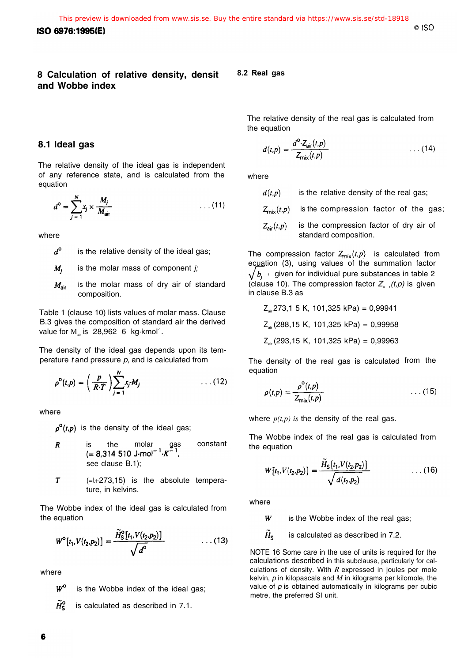# **8 Calculation of relative density, densit 8.2 Real gas and Wobbe index**

**8.1 Ideal gas**

The relative density of the ideal gas is independent of any reference state, and is calculated from the equation

$$
d^{\circ} = \sum_{j=1}^{N} x_j \times \frac{M_j}{M_{\text{air}}}
$$
 (11)

 $d^{\circ}$ is the relative density of the ideal gas;

is the molar mass of component j; М,

is the molar mass of dry air of standard  $M_{\rm air}$ composition.

B.3 gives the composition of standard air the derived value for  $M_{\textrm{\tiny air}}$  is 28,962 6 kg $\cdot$ kmol $^{\cdot}$ .

The density of the ideal gas depends upon its tem-

$$
\rho^{\circ}(t,p) = \left(\frac{p}{R \cdot T}\right) \sum_{j=1}^{N} x_j M_j \qquad \qquad \ldots (12)
$$

where

 $\rho^{o}(t,p)$  is the density of the ideal gas;

- is the molar gas constant the equation<br>  $(= 8,314,510)$  J·mol<sup>-1</sup>· $K^{-1}$ ,  $\overline{R}$ see clause B.1);
- $\overline{T}$ (=t+273,15) is the absolute temperature, in kelvins.

The Wobbe index of the ideal gas is calculated from the equation is the Wobbe index of the real gas;  $W$  is the Wobbe index of the real gas;

$$
W^{o}[t_1, V(t_2, p_2)] = \frac{\widetilde{H}_{S}^{o}[t_1, V(t_2, p_2)]}{\sqrt{d^{o}}}
$$
 (13)

where

 $W^{\circ}$ is the Wobbe index of the ideal gas;



The relative density of the real gas is calculated from the equation

$$
d(t,p) = \frac{d^{o} \cdot Z_{\text{air}}(t,p)}{Z_{\text{mix}}(t,p)} \tag{14}
$$

© ISO

where

- $d(t,p)$ is the relative density of the real gas;
- is the compression factor of the gas;  $Z_{\text{mix}}(t,p)$
- $Z_{\text{air}}(t,p)$ is the compression factor of dry air of where standard composition.

The compression factor  $Z_{mix}(t,p)$  is calculated from ecuation (3), using values of the summation factor  $\sqrt{b_i}$  given for individual pure substances in table 2 (clause 10). The compression factor  $Z_{\text{air}}(t,p)$  is given in clause B.3 as

Table 1 (clause 10) lists values of molar mass. Clause  $Z_{air}$  273,1 5 K, 101,325 kPa) = 0,99941  $Z_{air}$  (288,15 K, 101,325 kPa) = 0,99958  $Z_{air}$  (293,15 K, 101,325 kPa) = 0,99963

perature t and pressure  $p$ , and is calculated from The density of the real gas is calculated from the equation

$$
\rho(t,p) = \frac{\rho^{\circ}(t,p)}{Z_{\text{mix}}(t,p)} \tag{15}
$$

where  $p(t,p)$  is the density of the real gas.

The Wobbe index of the real gas is calculated from

$$
W[t_1, V(t_2, p_2)] = \frac{\tilde{H}_{\rm S}[t_1, V(t_2, p_2)]}{\sqrt{d(t_2, p_2)}}
$$
 (16)

where

 $\tilde{H}_{\rm S}$ is calculated as described in 7.2.

NOTE 16 Some care in the use of units is required for the calculations described in this subclause, particularly for calculations of density. With *R* expressed in joules per mole kelvin, <sup>p</sup> in kilopascals and *M* in kilograms per kilomole, the value of  $p$  is obtained automatically in kilograms per cubic metre, the preferred SI unit.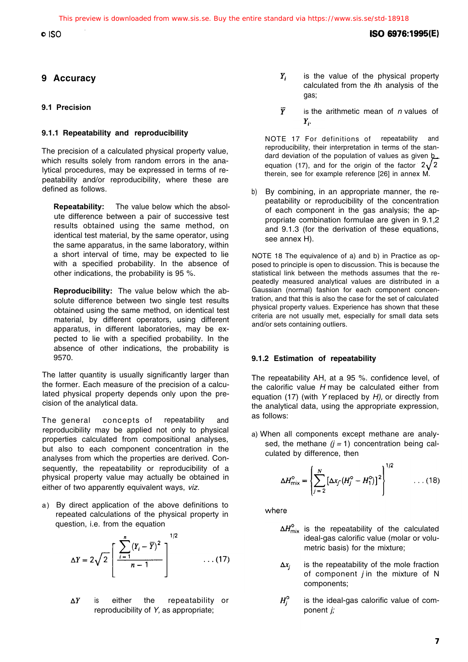# **9 Accuracy**

### **9.1 Precision**

### **9.1.1 Repeatability and reproducibility**

The precision of a calculated physical property value, which results solely from random errors in the analytical procedures, may be expressed in terms of repeatability and/or reproducibility, where these are defined as follows.

**Repeatability:** The value below which the absolute difference between a pair of successive test results obtained using the same method, on identical test material, by the same operator, using the same apparatus, in the same laboratory, within a short interval of time, may be expected to lie with a specified probability. In the absence of other indications, the probability is 95 %.

**Reproducibility:** The value below which the absolute difference between two single test results obtained using the same method, on identical test material, by different operators, using different apparatus, in different laboratories, may be expected to lie with a specified probability. In the absence of other indications, the probability is 9570.

The latter quantity is usually significantly larger than the former. Each measure of the precision of a calculated physical property depends only upon the precision of the analytical data.

The general concepts of repeatability and reproducibility may be applied not only to physical properties calculated from compositional analyses, but also to each component concentration in the analyses from which the properties are derived. Consequently, the repeatability or reproducibility of a physical property value may actually be obtained in either of two apparently equivalent ways, viz.

a) By direct application of the above definitions to repeated calculations of the physical property in question, i.e. from the equation

$$
\Delta Y = 2\sqrt{2} \left[ \frac{\sum_{i=1}^{n} (Y_i - \overline{Y})^2}{n-1} \right]^{1/2} \qquad \qquad \dots (17)
$$

 $\Delta Y$ is either the repeatability or reproducibility of Y, as appropriate;

- $\boldsymbol{Y}_i$ is the value of the physical property calculated from the ith analysis of the gas;
- $\overline{Y}$ is the arithmetic mean of  $n$  values of  $Y_{i}$

NOTE 17 For definitions of repeatability and reproducibility, their interpretation in terms of the standard deviation of the population of values as given b equation (17), and for the origin of the factor  $2\sqrt{2}$ therein, see for example reference [26] in annex M.

b) By combining, in an appropriate manner, the repeatability or reproducibility of the concentration of each component in the gas analysis; the appropriate combination formulae are given in 9.1,2 and 9.1.3 (for the derivation of these equations, see annex H).

NOTE 18 The equivalence of a) and b) in Practice as opposed to principle is open to discussion. This is because the statistical link between the methods assumes that the repeatedly measured analytical values are distributed in a Gaussian (normal) fashion for each component concentration, and that this is also the case for the set of calculated physical property values. Experience has shown that these criteria are not usually met, especially for small data sets and/or sets containing outliers.

### **9.1.2 Estimation of repeatability**

The repeatability AH, at a 95 %. confidence level, of the calorific value  $H$  may be calculated either from equation (17) (with Y replaced by  $H$ ), or directly from the analytical data, using the appropriate expression, as follows:

a) When all components except methane are analysed, the methane  $(i = 1)$  concentration being calculated by difference, then

$$
\Delta H_{\text{mix}}^{\text{o}} = \left\{ \sum_{j=2}^{N} \left[ \Delta x_{j} \left( H_{j}^{\text{o}} - H_{1}^{\text{o}} \right) \right]^{2} \right\}^{1/2} \qquad \dots (18)
$$

where

- $\Delta H_{\rm mix}^{\rm o}$  is the repeatability of the calculated ideal-gas calorific value (molar or volumetric basis) for the mixture;
- is the repeatability of the mole fraction  $\Delta x_i$ of component  $i$  in the mixture of N components;
- $H_i^{\rm o}$ is the ideal-gas calorific value of component *i*;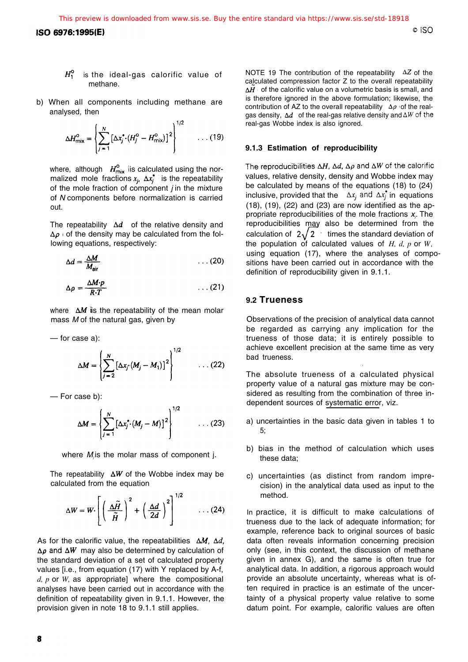- $H^{\circ}$  is the ideal-gas calorific value of methane.
- b) When all components including methane are analysed, then

$$
\Delta H_{\text{mix}}^{\text{o}} = \left\{ \sum_{j=1}^{N} \left[ \Delta x_{j}^{*} \cdot (H_{j}^{\text{o}} - H_{\text{mix}}^{\text{o}}) \right]^{2} \right\}^{1/2} \qquad \dots (19)
$$

where, although  $H_{\text{mix}}^{\circ}$  is calculated using the normalized mole fractions  $x_j$ ,  $\Delta x_j^*$  is the repeatability of the mole fraction of component  $j$  in the mixture of N components before normalization is carried out.

The repeatability  $\Delta d$  of the relative density and  $\Delta \rho$  of the density may be calculated from the following equations, respectively:

$$
\Delta d = \frac{\Delta M}{M_{\text{air}}} \tag{20}
$$

$$
\Delta \rho = \frac{\Delta M \cdot p}{R \cdot T} \tag{21}
$$

where  $\Delta M$  is the repeatability of the mean molar mass  $M$  of the natural gas, given by

— for case a):

$$
\Delta M = \left\{ \sum_{j=2}^{N} \left[ \Delta x_j \left( M_j - M_1 \right) \right]^2 \right\}^{1/2} \qquad \dots (22)
$$

— For case b):

$$
\Delta M = \left\{ \sum_{j=1}^{N} \left[ \Delta x_j^* \cdot (M_j - M) \right]^2 \right\}^{1/2} \qquad \dots (23)
$$

where  $M_i$  is the molar mass of component j.

The repeatability  $\Delta W$  of the Wobbe index may be calculated from the equation

$$
\Delta W = W \cdot \left[ \left( \frac{\Delta \tilde{H}}{\tilde{H}} \right)^2 + \left( \frac{\Delta d}{2d} \right)^2 \right]^{1/2} \qquad \dots (24)
$$

As for the calorific value, the repeatabilities  $\Delta M$ ,  $\Delta d$ ,  $\Delta \rho$  and  $\Delta W$  may also be determined by calculation of the standard deviation of a set of calculated property values [i.e., from equation (17) with Y replaced by A-f, *d, p* or *W,* as appropriate] where the compositional analyses have been carried out in accordance with the definition of repeatability given in 9.1.1. However, the provision given in note 18 to 9.1.1 still applies.

NOTE 19 The contribution of the repeatability  $\Delta Z$  of the calculated compression factor Z to the overall repeatability  $\Delta H$  of the calorific value on a volumetric basis is small, and is therefore ignored in the above formulation; likewise, the contribution of AZ to the overall repeatability  $\Delta \rho$  of the realgas density,  $\Delta d$  of the real-gas relative density and  $\Delta W$  of the real-gas Wobbe index is also ignored.

### **9.1.3 Estimation of reproducibility**

The reproducibilities  $\Delta H$ ,  $\Delta d$ ,  $\Delta \rho$  and  $\Delta W$  of the calorific values, relative density, density and Wobbe index may be calculated by means of the equations (18) to (24) inclusive, provided that the  $\Delta x_i$  and  $\Delta x_i^*$  in equations  $(18)$ ,  $(19)$ ,  $(22)$  and  $(23)$  are now identified as the appropriate reproducibilities of the mole fractions  $x_i$  The reproducibilities may also be determined from the calculation of  $2\sqrt{2}$  times the standard deviation of the population of calculated values of *H, d, p* or *W,* using equation (17), where the analyses of compositions have been carried out in accordance with the definition of reproducibility given in 9.1.1.

### **9.2 Trueness**

Observations of the precision of analytical data cannot be regarded as carrying any implication for the trueness of those data; it is entirely possible to achieve excellent precision at the same time as very bad trueness.

The absolute trueness of a calculated physical property value of a natural gas mixture may be considered as resulting from the combination of three independent sources of systematic error, viz.

- a) uncertainties in the basic data given in tables 1 to 5;
- b) bias in the method of calculation which uses these data;
- c) uncertainties (as distinct from random imprecision) in the analytical data used as input to the method.

In practice, it is difficult to make calculations of trueness due to the lack of adequate information; for example, reference back to original sources of basic data often reveals information concerning precision only (see, in this context, the discussion of methane given in annex G), and the same is often true for analytical data. In addition, a rigorous approach would provide an absolute uncertainty, whereas what is often required in practice is an estimate of the uncertainty of a physical property value relative to some datum point. For example, calorific values are often